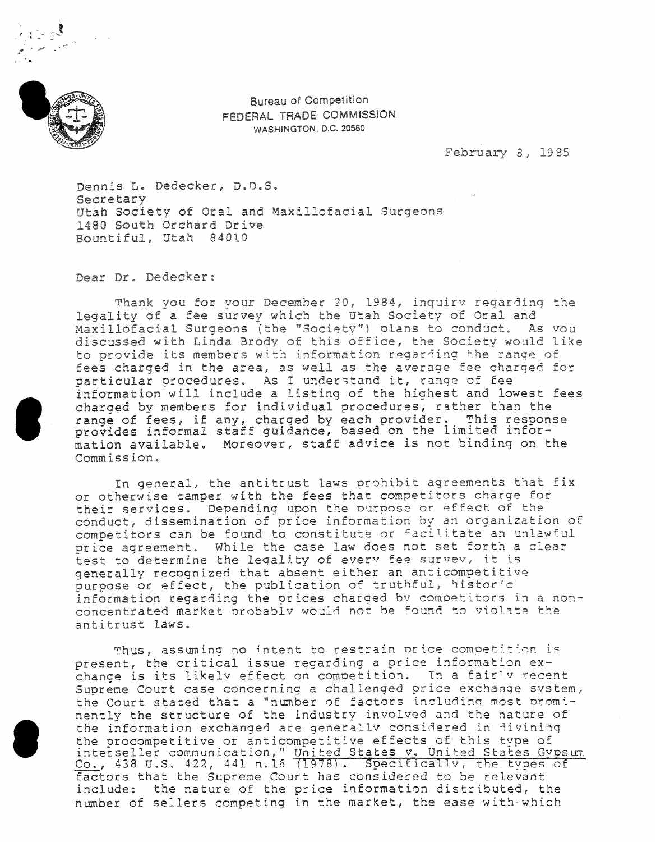

Bureau of Competition FEDERAL TRADE COMMISSION WASHINGTON, D.G. **20580** 

February 8, 1985

Dennis L. Dedecker, **B,D,S,** Secretary Utah Society of Oral and Maxillofacial Surgeons I480 South Orchard Drive Bountiful, Utah 84010

Dear Dr, Dedecker:

Thank you for your December 20, 1984, inquirv regarding the legality of a fee survey which the Utah Society of Oral and Maxillofacial Surgeons (the "Society") plans to conduct. As vou discussed with Linda Brody of this office, the Society would like to provide its members with information regarding the range of fees charged in the area, as well as the average fee charged for particular procedures. As I understand it, range of fee<br>information will include a listing of the highest and lowest fees information will include a listing of the highest and lowest fees<br>charged by members for individual procedures, rather than the<br>range of fees, if any, charged by each provider. This response<br>provides informal staff guidanc charged by members for individual procedures, rather than the ranged by members for individual procedures, ridner endn ene<br>cange of fees, if any, charged by each provider. This response<br>provides informal staff guidance, based on the limited information available, Moreover, staff advice is not binding on the Commission,

In general, the antitrust laws prohibit agreements that fix or otherwise tamper with the fees that competitors charge for their services. Depending upon the ourpose or effect of the conduct, dissemination of price information 5y an organization of competitors can be found to constitute or Facilitate an unlawful price agreement. While the case law does not set forth a clear test to determine the legality of every fee survey, it is generally recognized that absent either an anticompetitive purpose or effect, the publication of truthful, historic information regarding the prices charged by competitors in a nonconcentrated market probably would not be found to violate the antitrust laws,

Thus, assuming no intent to restrain price competition is present, the critical issue regarding a price information exchange is its likely effect on competition. In a fairly recent Supreme Court case concerning a challenged **pr** ice exchange system, the Court stated that a "number of factors including most promi-<br>nently the structure of the industry involved and the nature of nently the structure of the industry involved and the nature of<br>the information exchanged are generally considered in divining<br>the procompetitive or anticompetitive effects of this type of<br>interseller communication," Unite the information exchanged are generally considered in divining the procompetitive or anticompetitive effects of this type of interseller communication," United States v. United States Gvosum Co 438 **U.S.** 122, 441 n-15 factors that the Supreme Court has considered to be relevant include: the nature of the price information distributed, the number of sellers competing in the market, the ease with-which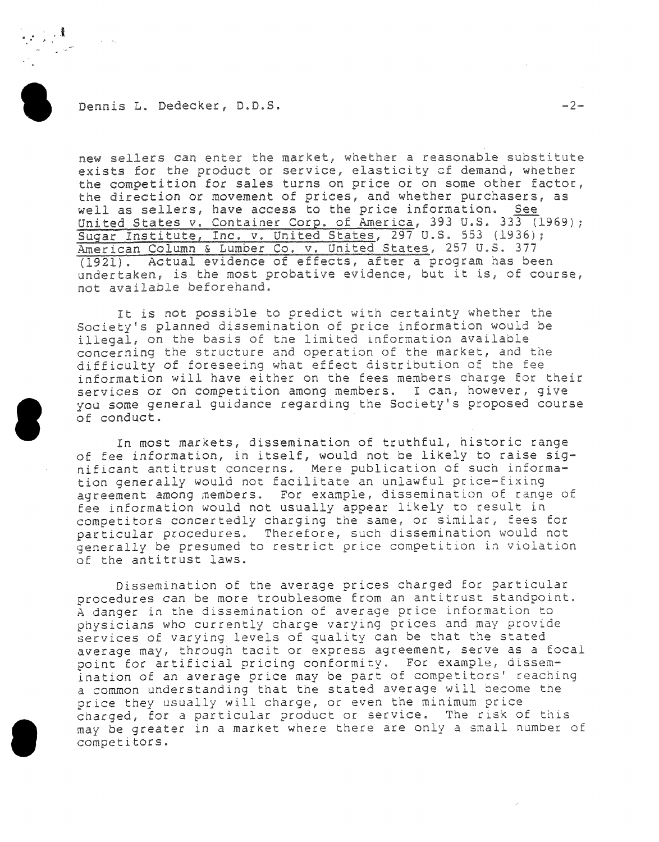## **a** Dennis L, Dedecker, **D,D,S,**

*8* 

new sellers can enter the market, whethar a reasonable substitute exists for the product or service, elasticity cf demand, whether the competition for sales turns on price or on some other factor, the direction or movement of prices, and whether purchasers, as<br>well as sellers, have access to the price information. See new sellers can enter the market, whether a reasonable substientiest exists for the product or service, elasticity of demand, whet<br>the competition for sales turns on price or on some other face<br>the direction or movement of United States v. Container Corp. of America, 393 U.S. 333 (1969); 393 U.S. 333 (196<br>J.S. 553 (1936); 257 **U,S,** *377*  (1921). Actual evidence of effects, after a program has been undertaken, is the most probative evidence, but it is, of course, not available beforehand,

It is not possible to predict with certainty whether the Society's planned dissemination of price information would be illegal, on the basis of the limited information available concerning the structure and operation of the market, and the difficulty of foreseeing what effect distribution of the fee information will have either on the fees members charge for their services or on competition among members. I can, however, give you some general guidance regarding the Society's proposed course of conduct.

In most markets, dissemination of truthful, historic range of fee information, in itself, would not be likely to raise significant antitrust concerns, Mere publication of such information generally would not facilitate an unlawful price-fixing agreement among members. For example, dissemination of range of fee information would not usually appear likely to result in competitors concertedly charging the same, or similar, fees for particular procedures. Therefore, such dissemination would not generally be presumed to restrict price competition in violation of the antitrust laws,

Dissemination of the average prices charged for particular procedures can be more troublesome from an antitrust standpoint, A danger in the dissemination of average price information to physicians who currently charge varying prices and may provide services of varying levels of quality can be that the stated average may, through tacit or express agreement, serve as a focal point for artificial pricing conformity. For example, dissen ination of an average price may be part of competitors' reaching a common understanding that the stated average will become the price they usually will charge, or even the minimum price charged, for a particular product or service. The risk of this may be greater in a market where there are only a small number of competitors.

 $-2-$